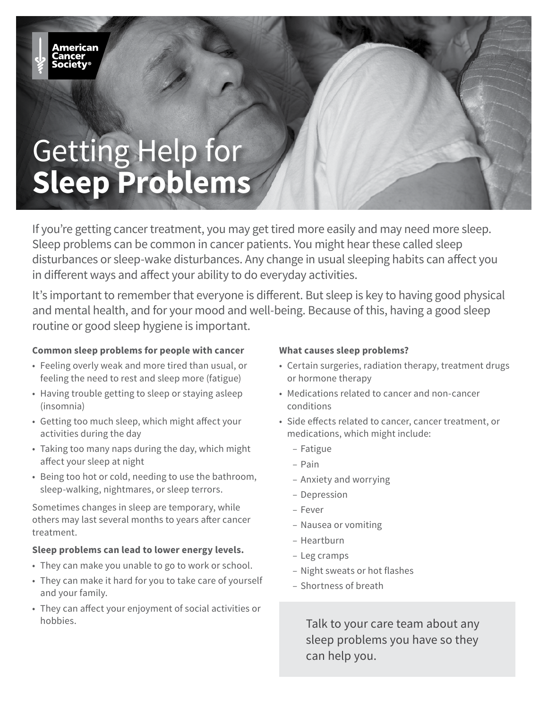# Getting Help for **Sleep Problems**

If you're getting cancer treatment, you may get tired more easily and may need more sleep. Sleep problems can be common in cancer patients. You might hear these called sleep disturbances or sleep-wake disturbances. Any change in usual sleeping habits can affect you in different ways and affect your ability to do everyday activities.

It's important to remember that everyone is different. But sleep is key to having good physical and mental health, and for your mood and well-being. Because of this, having a good sleep routine or good sleep hygiene is important.

#### **Common sleep problems for people with cancer**

- Feeling overly weak and more tired than usual, or feeling the need to rest and sleep more (fatigue)
- Having trouble getting to sleep or staying asleep (insomnia)
- Getting too much sleep, which might affect your activities during the day
- Taking too many naps during the day, which might affect your sleep at night
- Being too hot or cold, needing to use the bathroom, sleep-walking, nightmares, or sleep terrors.

Sometimes changes in sleep are temporary, while others may last several months to years after cancer treatment.

#### **Sleep problems can lead to lower energy levels.**

- They can make you unable to go to work or school.
- They can make it hard for you to take care of yourself and your family.
- They can affect your enjoyment of social activities or hobbies.

#### **What causes sleep problems?**

- Certain surgeries, radiation therapy, treatment drugs or hormone therapy
- Medications related to cancer and non-cancer conditions
- Side effects related to cancer, cancer treatment, or medications, which might include:
	- Fatigue
	- Pain
	- Anxiety and worrying
	- Depression
	- Fever
	- Nausea or vomiting
	- Heartburn
	- Leg cramps
	- Night sweats or hot flashes
	- Shortness of breath

Talk to your care team about any sleep problems you have so they can help you.